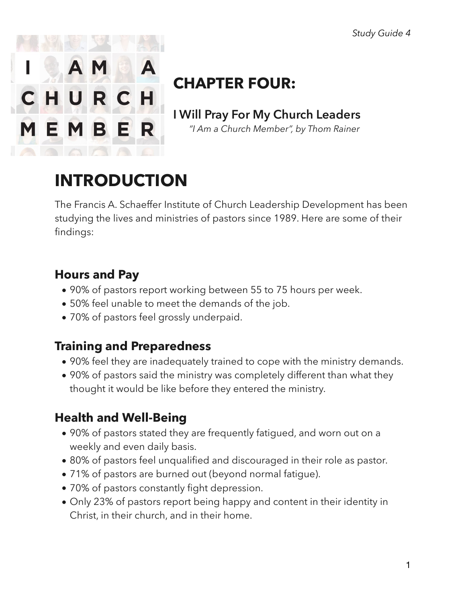

# **CHAPTER FOUR:**

**I Will Pray For My Church Leaders**   *"I Am a Church Member", by Thom Rainer* 

# **INTRODUCTION**

The Francis A. Schaeffer Institute of Church Leadership Development has been studying the lives and ministries of pastors since 1989. Here are some of their findings:

## **Hours and Pay**

- 90% of pastors report working between 55 to 75 hours per week.
- 50% feel unable to meet the demands of the job.
- 70% of pastors feel grossly underpaid.

## **Training and Preparedness**

- 90% feel they are inadequately trained to cope with the ministry demands.
- 90% of pastors said the ministry was completely different than what they thought it would be like before they entered the ministry.

## **Health and Well-Being**

- 90% of pastors stated they are frequently fatigued, and worn out on a weekly and even daily basis.
- 80% of pastors feel unqualified and discouraged in their role as pastor.
- 71% of pastors are burned out (beyond normal fatigue).
- 70% of pastors constantly fight depression.
- Only 23% of pastors report being happy and content in their identity in Christ, in their church, and in their home.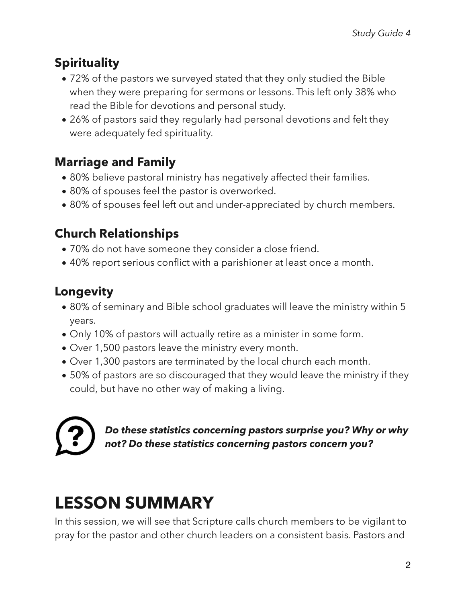## **Spirituality**

- 72% of the pastors we surveyed stated that they only studied the Bible when they were preparing for sermons or lessons. This left only 38% who read the Bible for devotions and personal study.
- 26% of pastors said they regularly had personal devotions and felt they were adequately fed spirituality.

## **Marriage and Family**

- 80% believe pastoral ministry has negatively affected their families.
- 80% of spouses feel the pastor is overworked.
- 80% of spouses feel left out and under-appreciated by church members.

## **Church Relationships**

- 70% do not have someone they consider a close friend.
- 40% report serious conflict with a parishioner at least once a month.

## **Longevity**

- 80% of seminary and Bible school graduates will leave the ministry within 5 years.
- Only 10% of pastors will actually retire as a minister in some form.
- Over 1,500 pastors leave the ministry every month.
- Over 1,300 pastors are terminated by the local church each month.
- 50% of pastors are so discouraged that they would leave the ministry if they could, but have no other way of making a living.

*Do these statistics concerning pastors surprise you? Why or why not? Do these statistics concerning pastors concern you?* 

# **LESSON SUMMARY**

In this session, we will see that Scripture calls church members to be vigilant to pray for the pastor and other church leaders on a consistent basis. Pastors and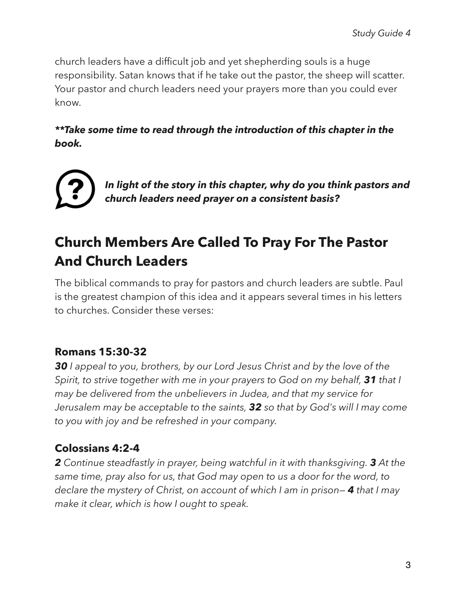church leaders have a difficult job and yet shepherding souls is a huge responsibility. Satan knows that if he take out the pastor, the sheep will scatter. Your pastor and church leaders need your prayers more than you could ever know.

#### *\*\*Take some time to read through the introduction of this chapter in the book.*



*In light of the story in this chapter, why do you think pastors and church leaders need prayer on a consistent basis?* 

## **Church Members Are Called To Pray For The Pastor And Church Leaders**

The biblical commands to pray for pastors and church leaders are subtle. Paul is the greatest champion of this idea and it appears several times in his letters to churches. Consider these verses:

### **Romans 15:30-32**

*30 I appeal to you, brothers, by our Lord Jesus Christ and by the love of the Spirit, to strive together with me in your prayers to God on my behalf, 31 that I may be delivered from the unbelievers in Judea, and that my service for Jerusalem may be acceptable to the saints, 32 so that by God's will I may come to you with joy and be refreshed in your company.* 

### **Colossians 4:2-4**

*2 Continue steadfastly in prayer, being watchful in it with thanksgiving. 3 At the same time, pray also for us, that God may open to us a door for the word, to declare the mystery of Christ, on account of which I am in prison— 4 that I may make it clear, which is how I ought to speak.*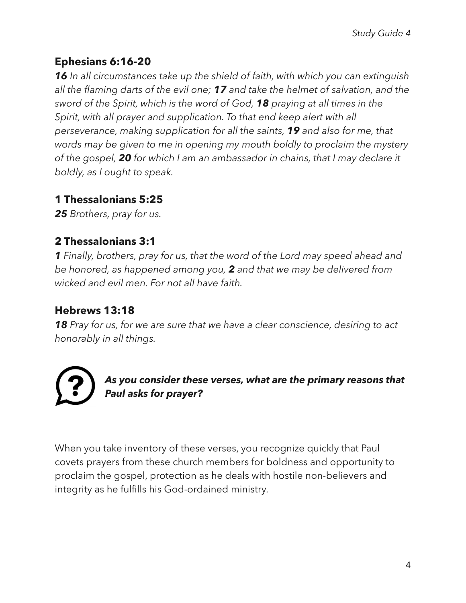### **Ephesians 6:16-20**

*16 In all circumstances take up the shield of faith, with which you can extinguish all the flaming darts of the evil one; 17 and take the helmet of salvation, and the sword of the Spirit, which is the word of God, 18 praying at all times in the Spirit, with all prayer and supplication. To that end keep alert with all perseverance, making supplication for all the saints, 19 and also for me, that words may be given to me in opening my mouth boldly to proclaim the mystery of the gospel, 20 for which I am an ambassador in chains, that I may declare it boldly, as I ought to speak.* 

#### **1 Thessalonians 5:25**

*25 Brothers, pray for us.* 

#### **2 Thessalonians 3:1**

*1 Finally, brothers, pray for us, that the word of the Lord may speed ahead and be honored, as happened among you, 2 and that we may be delivered from wicked and evil men. For not all have faith.* 

#### **Hebrews 13:18**

*18 Pray for us, for we are sure that we have a clear conscience, desiring to act honorably in all things.* 

*As you consider these verses, what are the primary reasons that Paul asks for prayer?* 

When you take inventory of these verses, you recognize quickly that Paul covets prayers from these church members for boldness and opportunity to proclaim the gospel, protection as he deals with hostile non-believers and integrity as he fulfills his God-ordained ministry.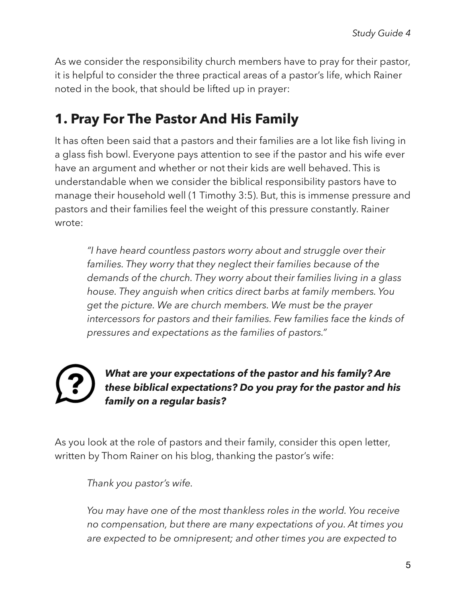As we consider the responsibility church members have to pray for their pastor, it is helpful to consider the three practical areas of a pastor's life, which Rainer noted in the book, that should be lifted up in prayer:

## **1. Pray For The Pastor And His Family**

It has often been said that a pastors and their families are a lot like fish living in a glass fish bowl. Everyone pays attention to see if the pastor and his wife ever have an argument and whether or not their kids are well behaved. This is understandable when we consider the biblical responsibility pastors have to manage their household well (1 Timothy 3:5). But, this is immense pressure and pastors and their families feel the weight of this pressure constantly. Rainer wrote:

*"I have heard countless pastors worry about and struggle over their families. They worry that they neglect their families because of the demands of the church. They worry about their families living in a glass house. They anguish when critics direct barbs at family members. You get the picture. We are church members. We must be the prayer intercessors for pastors and their families. Few families face the kinds of pressures and expectations as the families of pastors."* 

#### *What are your expectations of the pastor and his family? Are these biblical expectations? Do you pray for the pastor and his family on a regular basis?*

As you look at the role of pastors and their family, consider this open letter, written by Thom Rainer on his blog, thanking the pastor's wife:

*Thank you pastor's wife.* 

*You may have one of the most thankless roles in the world. You receive no compensation, but there are many expectations of you. At times you are expected to be omnipresent; and other times you are expected to*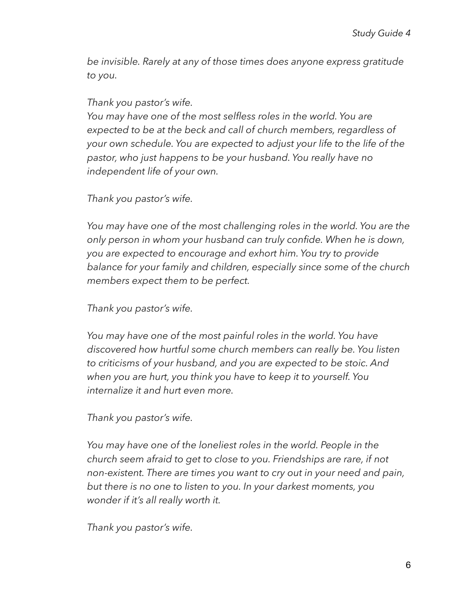*be invisible. Rarely at any of those times does anyone express gratitude to you.* 

*Thank you pastor's wife.* 

*You may have one of the most selfless roles in the world. You are expected to be at the beck and call of church members, regardless of your own schedule. You are expected to adjust your life to the life of the pastor, who just happens to be your husband. You really have no independent life of your own.* 

*Thank you pastor's wife.* 

*You may have one of the most challenging roles in the world. You are the only person in whom your husband can truly confide. When he is down, you are expected to encourage and exhort him. You try to provide balance for your family and children, especially since some of the church members expect them to be perfect.* 

*Thank you pastor's wife.* 

*You may have one of the most painful roles in the world. You have discovered how hurtful some church members can really be. You listen to criticisms of your husband, and you are expected to be stoic. And when you are hurt, you think you have to keep it to yourself. You internalize it and hurt even more.* 

*Thank you pastor's wife.* 

*You may have one of the loneliest roles in the world. People in the church seem afraid to get to close to you. Friendships are rare, if not non-existent. There are times you want to cry out in your need and pain, but there is no one to listen to you. In your darkest moments, you wonder if it's all really worth it.* 

*Thank you pastor's wife.*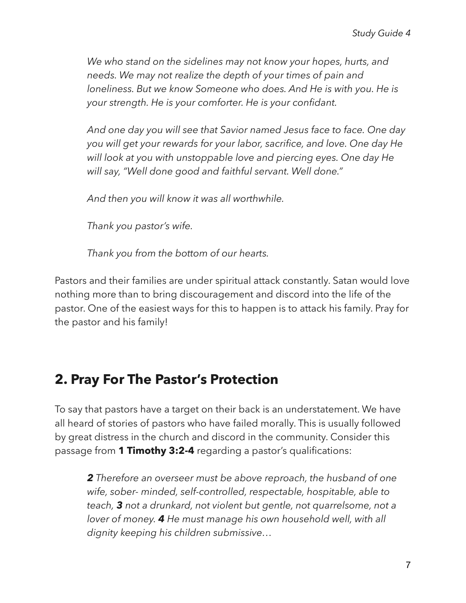*We who stand on the sidelines may not know your hopes, hurts, and needs. We may not realize the depth of your times of pain and loneliness. But we know Someone who does. And He is with you. He is your strength. He is your comforter. He is your confidant.* 

*And one day you will see that Savior named Jesus face to face. One day you will get your rewards for your labor, sacrifice, and love. One day He will look at you with unstoppable love and piercing eyes. One day He will say, "Well done good and faithful servant. Well done."* 

*And then you will know it was all worthwhile.* 

*Thank you pastor's wife.* 

*Thank you from the bottom of our hearts.* 

Pastors and their families are under spiritual attack constantly. Satan would love nothing more than to bring discouragement and discord into the life of the pastor. One of the easiest ways for this to happen is to attack his family. Pray for the pastor and his family!

## **2. Pray For The Pastor's Protection**

To say that pastors have a target on their back is an understatement. We have all heard of stories of pastors who have failed morally. This is usually followed by great distress in the church and discord in the community. Consider this passage from **1 Timothy 3:2-4** regarding a pastor's qualifications:

*2 Therefore an overseer must be above reproach, the husband of one wife, sober- minded, self-controlled, respectable, hospitable, able to teach, 3 not a drunkard, not violent but gentle, not quarrelsome, not a lover of money. 4 He must manage his own household well, with all dignity keeping his children submissive…*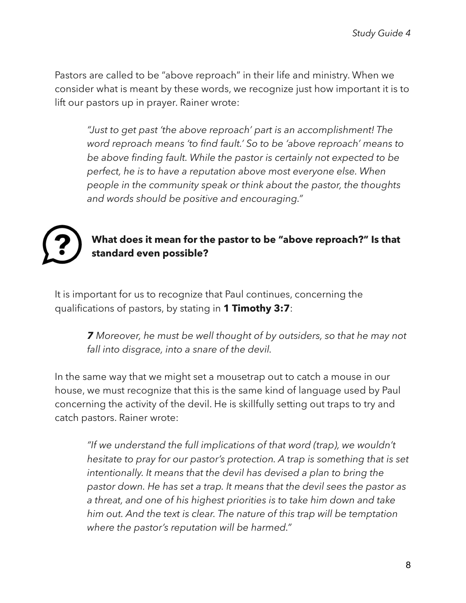Pastors are called to be "above reproach" in their life and ministry. When we consider what is meant by these words, we recognize just how important it is to lift our pastors up in prayer. Rainer wrote:

*"Just to get past 'the above reproach' part is an accomplishment! The word reproach means 'to find fault.' So to be 'above reproach' means to be above finding fault. While the pastor is certainly not expected to be perfect, he is to have a reputation above most everyone else. When people in the community speak or think about the pastor, the thoughts and words should be positive and encouraging."* 



#### **What does it mean for the pastor to be "above reproach?" Is that standard even possible?**

It is important for us to recognize that Paul continues, concerning the qualifications of pastors, by stating in **1 Timothy 3:7**:

> *7 Moreover, he must be well thought of by outsiders, so that he may not fall into disgrace, into a snare of the devil.*

In the same way that we might set a mousetrap out to catch a mouse in our house, we must recognize that this is the same kind of language used by Paul concerning the activity of the devil. He is skillfully setting out traps to try and catch pastors. Rainer wrote:

*"If we understand the full implications of that word (trap), we wouldn't hesitate to pray for our pastor's protection. A trap is something that is set intentionally. It means that the devil has devised a plan to bring the pastor down. He has set a trap. It means that the devil sees the pastor as a threat, and one of his highest priorities is to take him down and take him out. And the text is clear. The nature of this trap will be temptation where the pastor's reputation will be harmed."*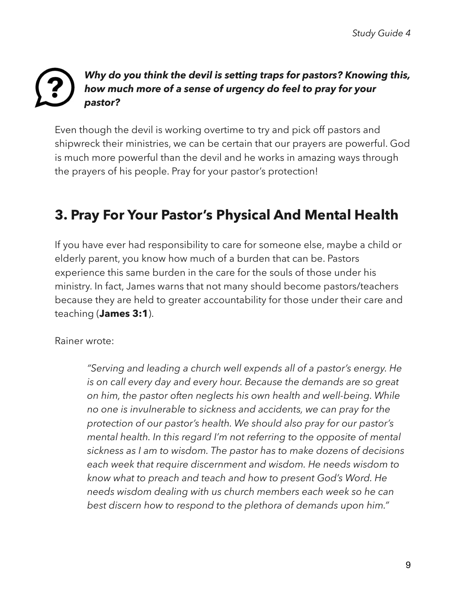### *Why do you think the devil is setting traps for pastors? Knowing this, how much more of a sense of urgency do feel to pray for your pastor?*

Even though the devil is working overtime to try and pick off pastors and shipwreck their ministries, we can be certain that our prayers are powerful. God is much more powerful than the devil and he works in amazing ways through the prayers of his people. Pray for your pastor's protection!

## **3. Pray For Your Pastor's Physical And Mental Health**

If you have ever had responsibility to care for someone else, maybe a child or elderly parent, you know how much of a burden that can be. Pastors experience this same burden in the care for the souls of those under his ministry. In fact, James warns that not many should become pastors/teachers because they are held to greater accountability for those under their care and teaching (**James 3:1**).

Rainer wrote:

*"Serving and leading a church well expends all of a pastor's energy. He is on call every day and every hour. Because the demands are so great on him, the pastor often neglects his own health and well-being. While no one is invulnerable to sickness and accidents, we can pray for the protection of our pastor's health. We should also pray for our pastor's mental health. In this regard I'm not referring to the opposite of mental sickness as I am to wisdom. The pastor has to make dozens of decisions each week that require discernment and wisdom. He needs wisdom to know what to preach and teach and how to present God's Word. He needs wisdom dealing with us church members each week so he can best discern how to respond to the plethora of demands upon him."*